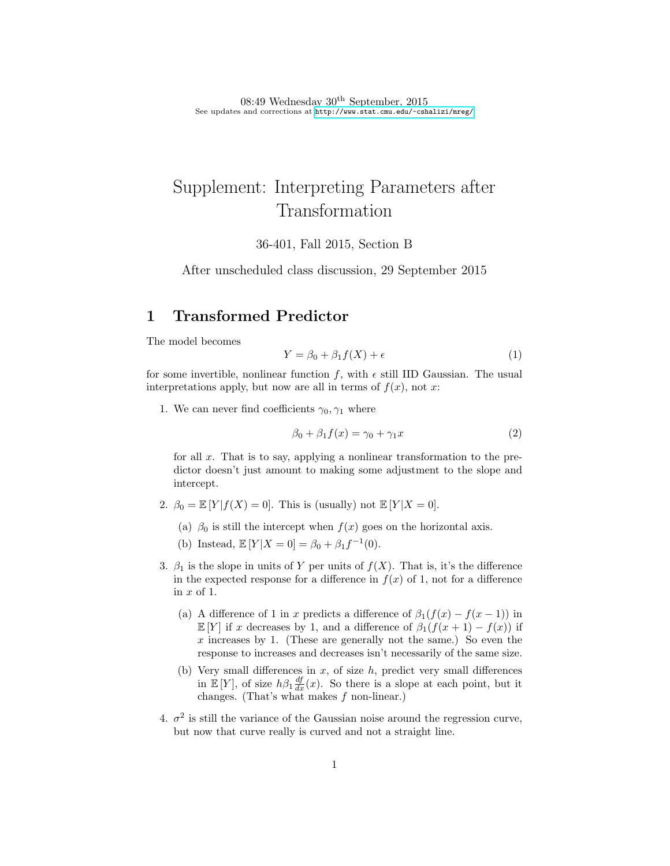08:49 Wednesday  $30<sup>th</sup>$  September, 2015 See updates and corrections at <http://www.stat.cmu.edu/~cshalizi/mreg/>

# Supplement: Interpreting Parameters after Transformation

36-401, Fall 2015, Section B

After unscheduled class discussion, 29 September 2015

## 1 Transformed Predictor

The model becomes

$$
Y = \beta_0 + \beta_1 f(X) + \epsilon \tag{1}
$$

for some invertible, nonlinear function f, with  $\epsilon$  still IID Gaussian. The usual interpretations apply, but now are all in terms of  $f(x)$ , not x:

1. We can never find coefficients  $\gamma_0, \gamma_1$  where

$$
\beta_0 + \beta_1 f(x) = \gamma_0 + \gamma_1 x \tag{2}
$$

for all  $x$ . That is to say, applying a nonlinear transformation to the predictor doesn't just amount to making some adjustment to the slope and intercept.

- 2.  $\beta_0 = \mathbb{E}[Y|f(X) = 0]$ . This is (usually) not  $\mathbb{E}[Y|X = 0]$ .
	- (a)  $\beta_0$  is still the intercept when  $f(x)$  goes on the horizontal axis.
	- (b) Instead,  $\mathbb{E}[Y|X=0] = \beta_0 + \beta_1 f^{-1}(0)$ .
- 3.  $\beta_1$  is the slope in units of Y per units of  $f(X)$ . That is, it's the difference in the expected response for a difference in  $f(x)$  of 1, not for a difference in  $x$  of 1.
	- (a) A difference of 1 in x predicts a difference of  $\beta_1(f(x) f(x-1))$  in  $\mathbb{E}[Y]$  if x decreases by 1, and a difference of  $\beta_1(f(x+1) - f(x))$  if x increases by 1. (These are generally not the same.) So even the response to increases and decreases isn't necessarily of the same size.
	- (b) Very small differences in  $x$ , of size  $h$ , predict very small differences in  $\mathbb{E}[Y]$ , of size  $h\beta_1 \frac{df}{dx}(x)$ . So there is a slope at each point, but it changes. (That's what makes  $f$  non-linear.)
- 4.  $\sigma^2$  is still the variance of the Gaussian noise around the regression curve, but now that curve really is curved and not a straight line.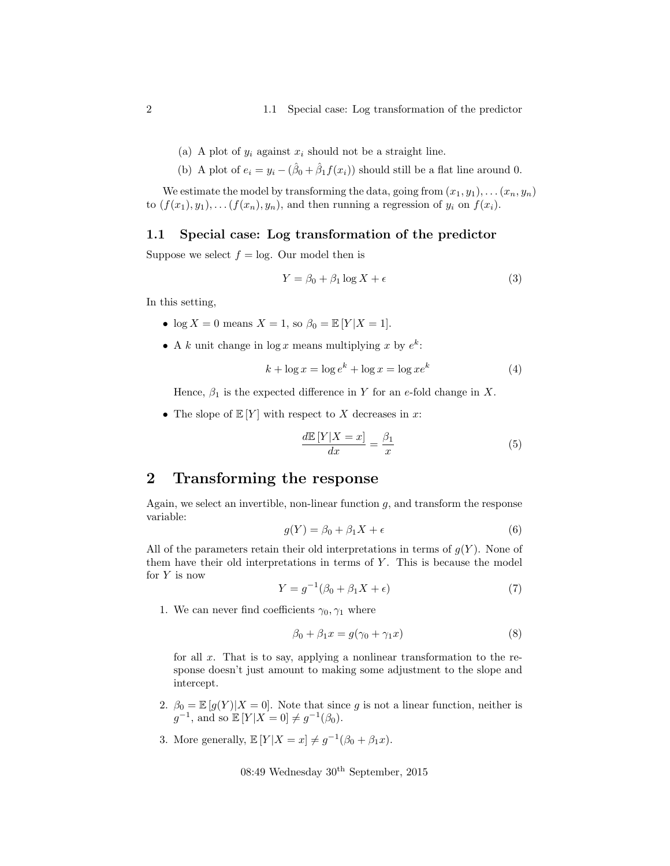- (a) A plot of  $y_i$  against  $x_i$  should not be a straight line.
- (b) A plot of  $e_i = y_i (\hat{\beta}_0 + \hat{\beta}_1 f(x_i))$  should still be a flat line around 0.

We estimate the model by transforming the data, going from  $(x_1, y_1), \ldots (x_n, y_n)$ to  $(f(x_1), y_1), \ldots (f(x_n), y_n)$ , and then running a regression of  $y_i$  on  $f(x_i)$ .

#### 1.1 Special case: Log transformation of the predictor

Suppose we select  $f = \log$ . Our model then is

$$
Y = \beta_0 + \beta_1 \log X + \epsilon \tag{3}
$$

In this setting,

- $\log X = 0$  means  $X = 1$ , so  $\beta_0 = \mathbb{E}[Y|X = 1]$ .
- A k unit change in  $\log x$  means multiplying x by  $e^k$ :

$$
k + \log x = \log e^k + \log x = \log xe^k \tag{4}
$$

Hence,  $\beta_1$  is the expected difference in Y for an e-fold change in X.

• The slope of  $E[Y]$  with respect to X decreases in x:

$$
\frac{d\mathbb{E}\left[Y|X=x\right]}{dx} = \frac{\beta_1}{x} \tag{5}
$$

## 2 Transforming the response

Again, we select an invertible, non-linear function  $g$ , and transform the response variable:

$$
g(Y) = \beta_0 + \beta_1 X + \epsilon \tag{6}
$$

All of the parameters retain their old interpretations in terms of  $g(Y)$ . None of them have their old interpretations in terms of  $Y$ . This is because the model for  $Y$  is now

$$
Y = g^{-1}(\beta_0 + \beta_1 X + \epsilon) \tag{7}
$$

1. We can never find coefficients  $\gamma_0, \gamma_1$  where

$$
\beta_0 + \beta_1 x = g(\gamma_0 + \gamma_1 x) \tag{8}
$$

for all x. That is to say, applying a nonlinear transformation to the response doesn't just amount to making some adjustment to the slope and intercept.

- 2.  $\beta_0 = \mathbb{E}[g(Y)|X=0]$ . Note that since g is not a linear function, neither is  $g^{-1}$ , and so  $\mathbb{E}[Y|X=0] \neq g^{-1}(\beta_0)$ .
- 3. More generally,  $\mathbb{E}[Y|X=x] \neq g^{-1}(\beta_0 + \beta_1 x)$ .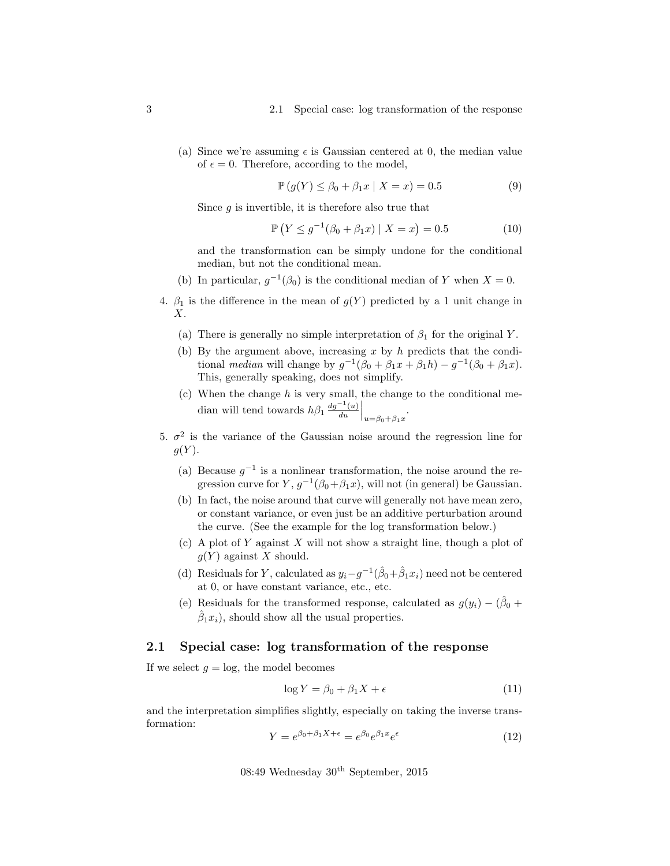- 3 2.1 Special case: log transformation of the response
	- (a) Since we're assuming  $\epsilon$  is Gaussian centered at 0, the median value of  $\epsilon = 0$ . Therefore, according to the model,

$$
\mathbb{P}\left(g(Y)\leq\beta_0+\beta_1x\mid X=x\right)=0.5\tag{9}
$$

Since  $g$  is invertible, it is therefore also true that

$$
\mathbb{P}\left(Y \le g^{-1}(\beta_0 + \beta_1 x) \mid X = x\right) = 0.5\tag{10}
$$

and the transformation can be simply undone for the conditional median, but not the conditional mean.

- (b) In particular,  $g^{-1}(\beta_0)$  is the conditional median of Y when  $X = 0$ .
- 4.  $\beta_1$  is the difference in the mean of  $g(Y)$  predicted by a 1 unit change in X.
	- (a) There is generally no simple interpretation of  $\beta_1$  for the original Y.
	- (b) By the argument above, increasing  $x$  by  $h$  predicts that the conditional median will change by  $g^{-1}(\beta_0 + \beta_1 x + \beta_1 h) - g^{-1}(\beta_0 + \beta_1 x)$ . This, generally speaking, does not simplify.
	- $(c)$  When the change h is very small, the change to the conditional median will tend towards  $h\beta_1 \frac{dg^{-1}(u)}{du}$  $\frac{1-u}{du}\bigg|_{u=\beta_0+\beta_1 x}.$
- 5.  $\sigma^2$  is the variance of the Gaussian noise around the regression line for  $g(Y)$ .
	- (a) Because  $g^{-1}$  is a nonlinear transformation, the noise around the regression curve for  $Y, g^{-1}(\beta_0 + \beta_1 x)$ , will not (in general) be Gaussian.
	- (b) In fact, the noise around that curve will generally not have mean zero, or constant variance, or even just be an additive perturbation around the curve. (See the example for the log transformation below.)
	- (c) A plot of Y against X will not show a straight line, though a plot of  $q(Y)$  against X should.
	- (d) Residuals for Y, calculated as  $y_i g^{-1}(\hat{\beta}_0 + \hat{\beta}_1 x_i)$  need not be centered at 0, or have constant variance, etc., etc.
	- (e) Residuals for the transformed response, calculated as  $g(y_i) (\hat{\beta}_0 +$  $\hat{\beta}_1 x_i$ , should show all the usual properties.

#### 2.1 Special case: log transformation of the response

If we select  $g = \log$ , the model becomes

$$
\log Y = \beta_0 + \beta_1 X + \epsilon \tag{11}
$$

and the interpretation simplifies slightly, especially on taking the inverse transformation:

$$
Y = e^{\beta_0 + \beta_1 X + \epsilon} = e^{\beta_0} e^{\beta_1 x} e^{\epsilon}
$$
\n(12)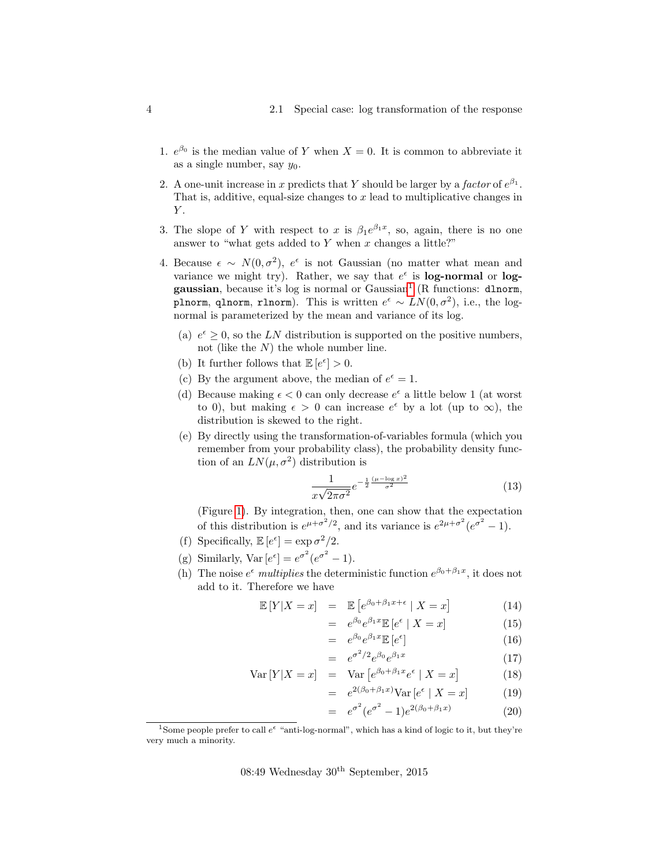- 1.  $e^{\beta_0}$  is the median value of Y when  $X = 0$ . It is common to abbreviate it as a single number, say  $y_0$ .
- 2. A one-unit increase in x predicts that Y should be larger by a factor of  $e^{\beta_1}$ . That is, additive, equal-size changes to  $x$  lead to multiplicative changes in  $Y$ .
- 3. The slope of Y with respect to x is  $\beta_1 e^{\beta_1 x}$ , so, again, there is no one answer to "what gets added to  $Y$  when  $x$  changes a little?"
- 4. Because  $\epsilon \sim N(0, \sigma^2)$ ,  $e^{\epsilon}$  is not Gaussian (no matter what mean and variance we might try). Rather, we say that  $e^{\epsilon}$  is **log-normal** or **log-**gaussian, because it's log is normal or Gaussian<sup>[1](#page-3-0)</sup> (R functions: dlnorm, plnorm, qlnorm, rlnorm). This is written  $e^{\epsilon} \sim LN(0, \sigma^2)$ , i.e., the lognormal is parameterized by the mean and variance of its log.
	- (a)  $e^{\epsilon} \geq 0$ , so the LN distribution is supported on the positive numbers, not (like the  $N$ ) the whole number line.
	- (b) It further follows that  $\mathbb{E}[e^{\epsilon}] > 0$ .
	- (c) By the argument above, the median of  $e^{\epsilon} = 1$ .
	- (d) Because making  $\epsilon < 0$  can only decrease  $e^{\epsilon}$  a little below 1 (at worst to 0), but making  $\epsilon > 0$  can increase  $e^{\epsilon}$  by a lot (up to  $\infty$ ), the distribution is skewed to the right.
	- (e) By directly using the transformation-of-variables formula (which you remember from your probability class), the probability density function of an  $LN(\mu, \sigma^2)$  distribution is

$$
\frac{1}{x\sqrt{2\pi\sigma^2}}e^{-\frac{1}{2}\frac{(\mu-\log x)^2}{\sigma^2}}\tag{13}
$$

(Figure [1\)](#page-4-0). By integration, then, one can show that the expectation of this distribution is  $e^{\mu+\sigma^2/2}$ , and its variance is  $e^{2\mu+\sigma^2}(e^{\sigma^2}-1)$ .

- (f) Specifically,  $\mathbb{E}[e^{\epsilon}] = \exp \sigma^2/2$ .
- (g) Similarly, Var  $[e^{\epsilon}] = e^{\sigma^2} (e^{\sigma^2} 1)$ .
- (h) The noise  $e^{\epsilon}$  multiplies the deterministic function  $e^{\beta_0 + \beta_1 x}$ , it does not add to it. Therefore we have

$$
\mathbb{E}\left[Y|X=x\right] = \mathbb{E}\left[e^{\beta_0 + \beta_1 x + \epsilon} \mid X = x\right] \tag{14}
$$

$$
= e^{\beta_0} e^{\beta_1 x} \mathbb{E} \left[ e^{\epsilon} \mid X = x \right] \tag{15}
$$

$$
= e^{\beta_0} e^{\beta_1 x} \mathbb{E} \left[ e^{\epsilon} \right] \tag{16}
$$

$$
e^{\sigma^2/2}e^{\beta_0}e^{\beta_1 x} \tag{17}
$$

$$
\text{Var}\left[Y|X=x\right] = \text{Var}\left[e^{\beta_0 + \beta_1 x} e^{\epsilon} \mid X=x\right] \tag{18}
$$

$$
= e^{2(\beta_0 + \beta_1 x)} \text{Var}\left[e^{\epsilon} \mid X = x\right] \tag{19}
$$

$$
= e^{\sigma^2} (e^{\sigma^2} - 1) e^{2(\beta_0 + \beta_1 x)}
$$
\n(20)

 $=$ 

<span id="page-3-0"></span><sup>&</sup>lt;sup>1</sup> Some people prefer to call  $e^{\epsilon}$  "anti-log-normal", which has a kind of logic to it, but they're very much a minority.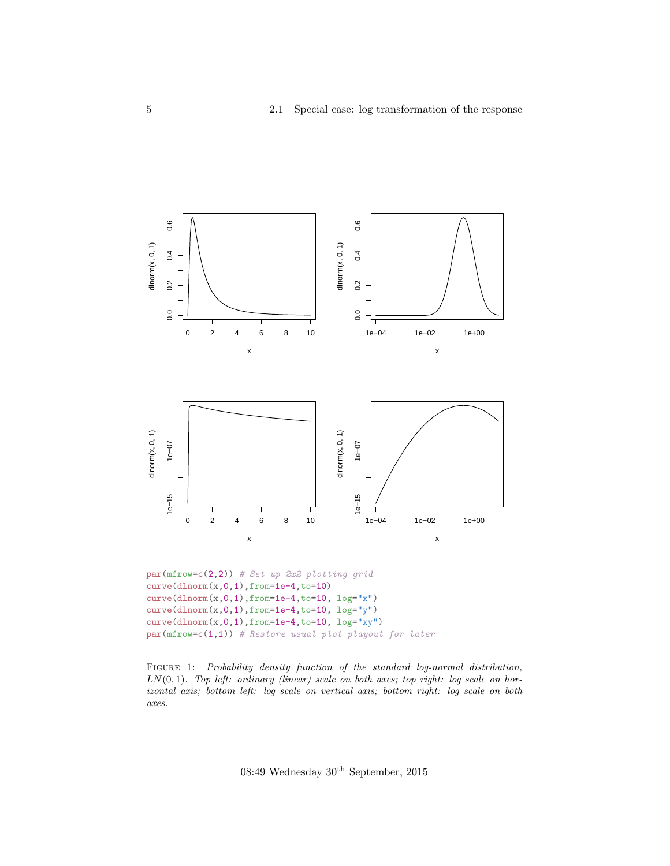<span id="page-4-0"></span>

 $curve(dnorm(x,0,1),from=1e-4,to=10)$  $curve(dlnorm(x,0,1), from=1e-4, to=10, log="x")$  $curve(dlnorm(x,0,1), from = 1e-4, to = 10, log = "y")$ curve(dlnorm(x,0,1),from=1e-4,to=10, log="xy")  $par(mfrow=c(1,1))$  # Restore usual plot playout for later

FIGURE 1: Probability density function of the standard log-normal distribution,  $LN(0, 1)$ . Top left: ordinary (linear) scale on both axes; top right: log scale on horizontal axis; bottom left: log scale on vertical axis; bottom right: log scale on both axes.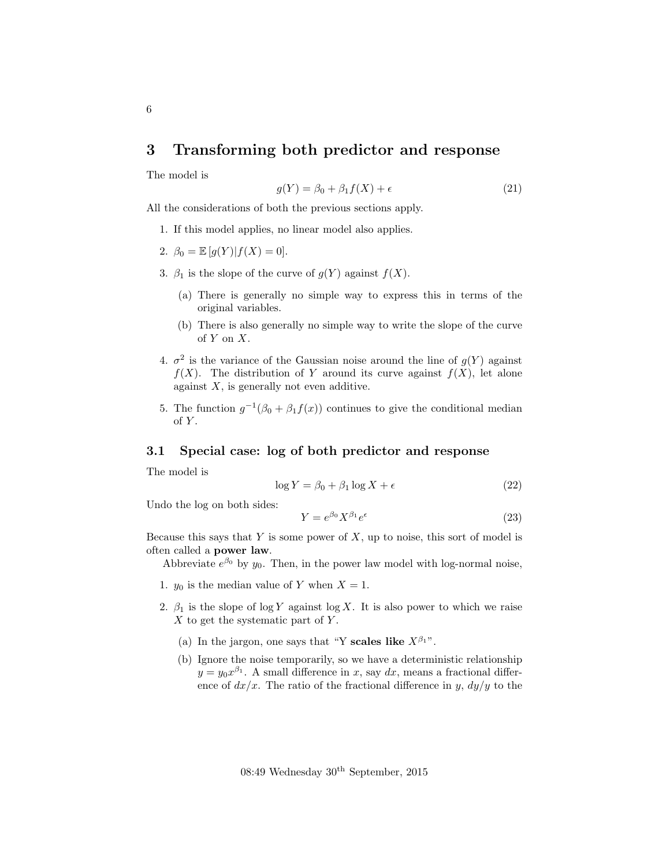## 3 Transforming both predictor and response

The model is

$$
g(Y) = \beta_0 + \beta_1 f(X) + \epsilon \tag{21}
$$

All the considerations of both the previous sections apply.

- 1. If this model applies, no linear model also applies.
- 2.  $\beta_0 = \mathbb{E}[g(Y)|f(X) = 0].$
- 3.  $\beta_1$  is the slope of the curve of  $g(Y)$  against  $f(X)$ .
	- (a) There is generally no simple way to express this in terms of the original variables.
	- (b) There is also generally no simple way to write the slope of the curve of  $Y$  on  $X$ .
- 4.  $\sigma^2$  is the variance of the Gaussian noise around the line of  $g(Y)$  against  $f(X)$ . The distribution of Y around its curve against  $f(X)$ , let alone against  $X$ , is generally not even additive.
- 5. The function  $g^{-1}(\beta_0 + \beta_1 f(x))$  continues to give the conditional median of Y.

### 3.1 Special case: log of both predictor and response

The model is

$$
\log Y = \beta_0 + \beta_1 \log X + \epsilon \tag{22}
$$

Undo the log on both sides:

$$
Y = e^{\beta_0} X^{\beta_1} e^{\epsilon} \tag{23}
$$

Because this says that  $Y$  is some power of  $X$ , up to noise, this sort of model is often called a power law.

Abbreviate  $e^{\beta_0}$  by  $y_0$ . Then, in the power law model with log-normal noise,

- 1.  $y_0$  is the median value of Y when  $X = 1$ .
- 2.  $\beta_1$  is the slope of log Y against log X. It is also power to which we raise  $X$  to get the systematic part of  $Y$ .
	- (a) In the jargon, one says that "Y scales like  $X^{\beta_1}$ ".
	- (b) Ignore the noise temporarily, so we have a deterministic relationship  $y = y_0 x^{\beta_1}$ . A small difference in x, say dx, means a fractional difference of  $dx/x$ . The ratio of the fractional difference in y,  $dy/y$  to the